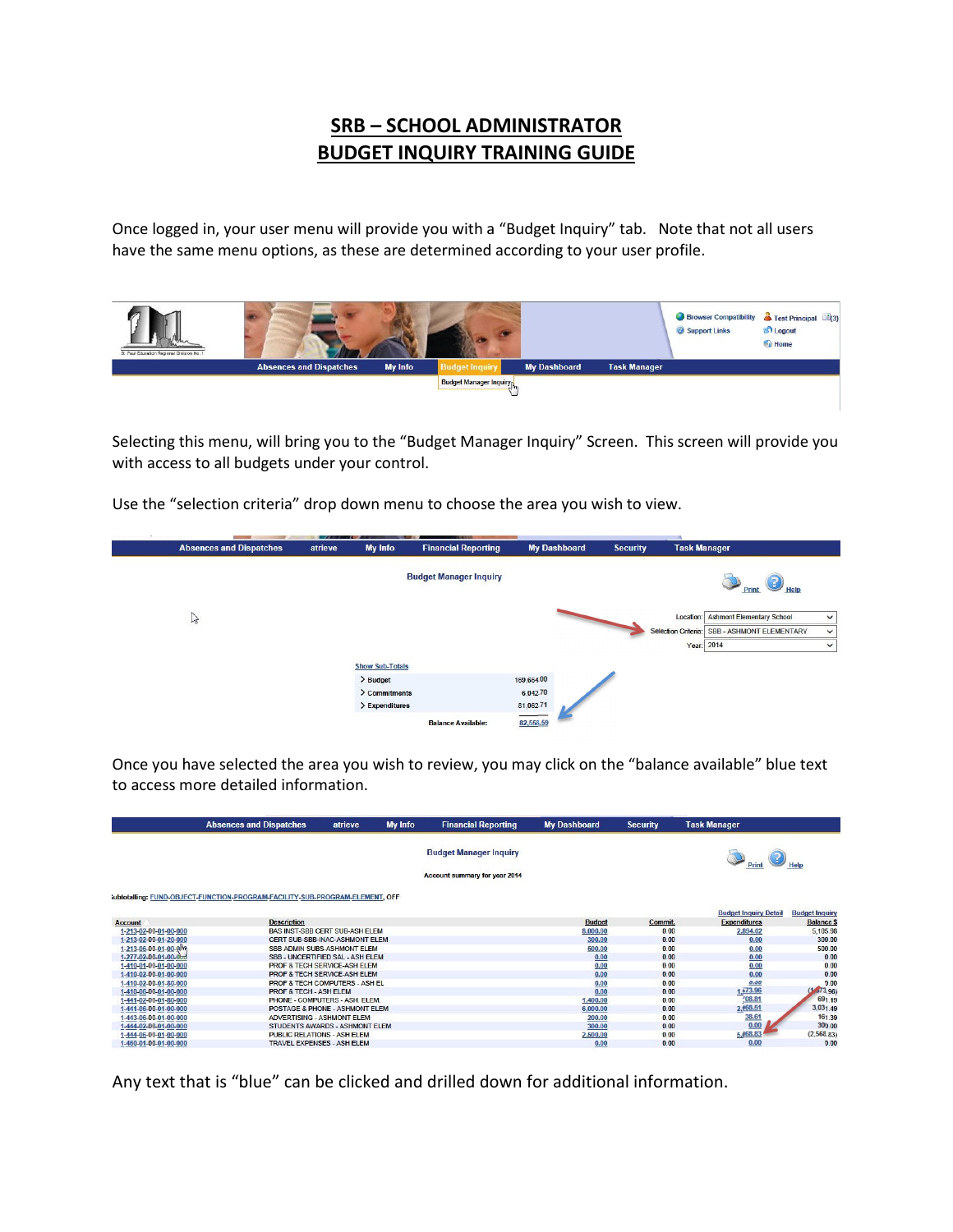## **SRB – SCHOOL ADMINISTRATOR BUDGET INQUIRY TRAINING GUIDE**

Once logged in, your user menu will provide you with a "Budget Inquiry" tab. Note that not all users have the same menu options, as these are determined according to your user profile.



Selecting this menu, will bring you to the "Budget Manager Inquiry" Screen. This screen will provide you with access to all budgets under your control.

Use the "selection criteria" drop down menu to choose the area you wish to view.



Once you have selected the area you wish to review, you may click on the "balance available" blue text to access more detailed information.

|                       | <b>Absences and Dispatches</b>                                              | atrieve | <b>My Info</b> | <b>Financial Reporting</b>                                     | <b>My Dashboard</b> | <b>Security</b> | <b>Task Manager</b>          |                       |
|-----------------------|-----------------------------------------------------------------------------|---------|----------------|----------------------------------------------------------------|---------------------|-----------------|------------------------------|-----------------------|
|                       |                                                                             |         |                | <b>Budget Manager Inquiry</b><br>Account summary for year 2014 |                     |                 |                              |                       |
|                       |                                                                             |         |                |                                                                |                     |                 |                              |                       |
|                       | ubtotalling: FUND-OBJECT-FUNCTION-PROGRAM-FACILITY-SUB-PROGRAM-ELEMENT, OFF |         |                |                                                                |                     |                 | <b>Budget Inquiry Detail</b> | <b>Budget Inquiry</b> |
| <b>Account</b>        | <b>Description</b>                                                          |         |                |                                                                | <b>Budget</b>       | Commit.         | <b>Expenditures</b>          | <b>Balance \$</b>     |
| 1-213-02-00-01-00-000 | <b>BAS INST-SBB CERT SUB-ASH ELEM</b>                                       |         |                |                                                                | 8,000.00            | 0.00            | 2,894.02                     | 5.105.98              |
| 1-213-02-00-01-20-000 | CERT SUB-SBB-INAC-ASHMONT ELEM                                              |         |                |                                                                | 300.00              | 0.00            | 0.00                         | 300.00                |
| 1-213-06-00-01-00-0m  | SBB ADMIN SUBS-ASHMONT ELEM                                                 |         |                |                                                                | 500.00              | 0.00            | 0.00                         | 500.00                |
| 1-277-02-00-01-00-000 | SBB - UNCERTIFIED SAL - ASH FLEM                                            |         |                |                                                                | 0.00                | 0.00            | 0.00                         | 0.00                  |
| 1-410-01-00-01-00-000 | <b>PROF &amp; TECH SERVICE-ASH ELEM</b>                                     |         |                |                                                                | 0.00                | 0.00            | 0.00                         | 0.00                  |
| 1-410-02-00-01-00-000 | PROF & TECH SERVICE-ASH ELEM                                                |         |                |                                                                | 0.00                | 0.00            | 0.00                         | 0.00                  |
| 1-410-02-00-01-80-000 | <b>PROF &amp; TECH COMPUTERS - ASH EL</b>                                   |         |                |                                                                | 0.00                | 0.00            | 0.00                         | 0.00                  |
| 1-410-06-00-01-00-000 | PROF & TECH - ASH ELEM                                                      |         |                |                                                                | 0.00                | 0.00            | 1,573.96                     | (1, 573, 96)          |
| 1-441-02-00-01-80-000 | PHONE - COMPUTERS - ASH. ELEM.                                              |         |                |                                                                | 1,400.00            | 0.00            | 708.81                       | 691.19                |
| 1-441-06-00-01-00-000 | POSTAGE & PHONE - ASHMONT FLEM                                              |         |                |                                                                | 6.000.00            | 0.00            | 2,968.51                     | 3,031.49              |
| 1-443-06-00-01-00-000 | <b>ADVERTISING - ASHMONT ELEM</b>                                           |         |                |                                                                | 200.00              | 0.00            | 38.61                        | 161.39                |
| 1-444-02-00-01-00-000 | STUDENTS AWARDS - ASHMONT FLEM                                              |         |                |                                                                | 300.00              | 0.00            | 0.00                         | 300.00                |
| 1-444-06-00-01-00-000 | <b>PUBLIC RELATIONS - ASH ELEM</b>                                          |         |                |                                                                | 2,500.00            | 0.00            | 5,068.83                     | (2,568.83)            |
| 1-460-01-00-01-00-000 | <b>TRAVEL EXPENSES - ASH ELEM</b>                                           |         |                |                                                                | 0.00                | 0.00            | 0.00                         | 0.00                  |

Any text that is "blue" can be clicked and drilled down for additional information.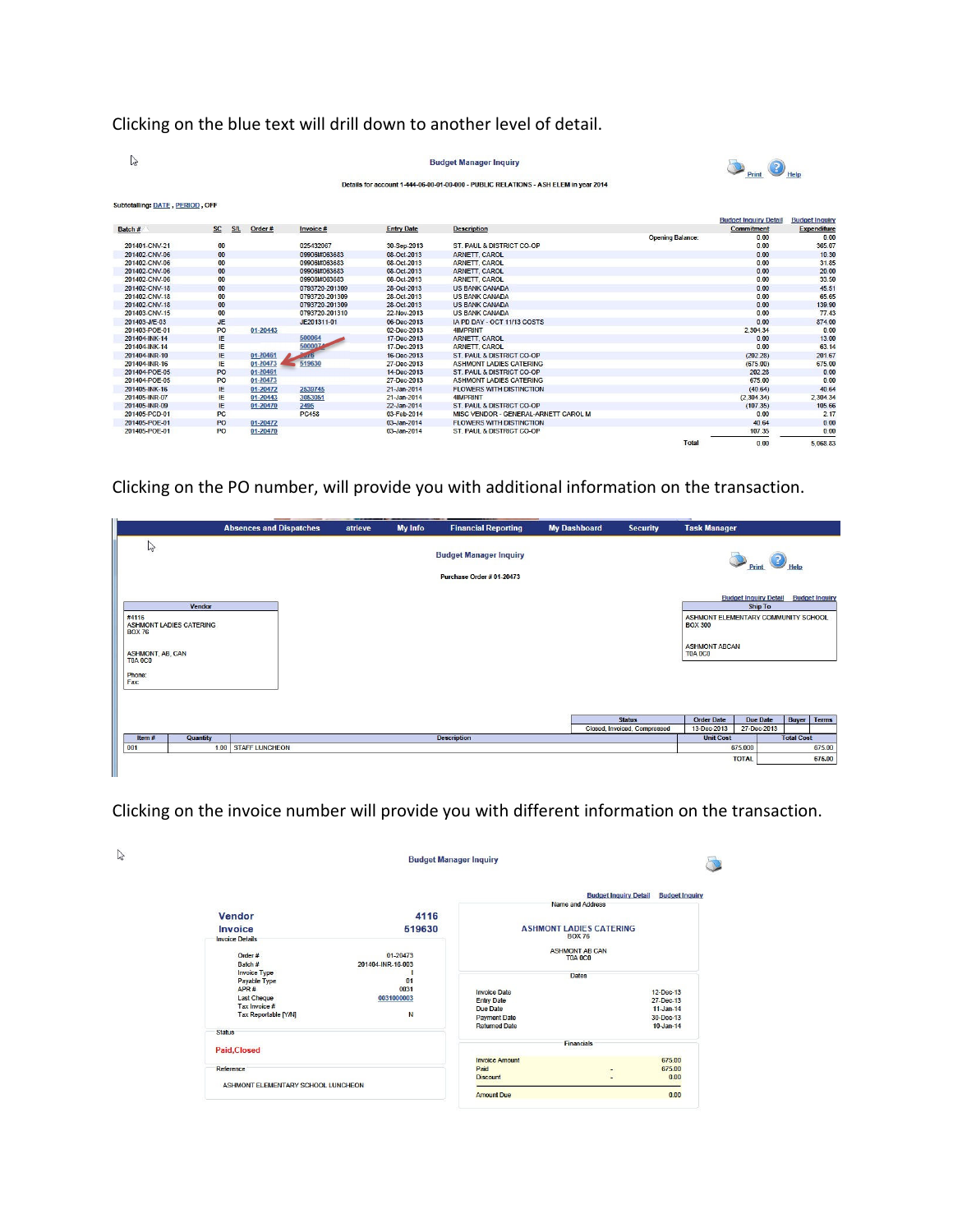## Clicking on the blue text will drill down to another level of detail.

| B                               |           |     |          |                 |                   | <b>Budget Manager Inquiry</b>                                                        |                         | Print                        |                       |
|---------------------------------|-----------|-----|----------|-----------------|-------------------|--------------------------------------------------------------------------------------|-------------------------|------------------------------|-----------------------|
|                                 |           |     |          |                 |                   | Details for account 1-444-06-00-01-00-000 - PUBLIC RELATIONS - ASH ELEM in year 2014 |                         |                              |                       |
| Subtotalling: DATE, PERIOD, OFF |           |     |          |                 |                   |                                                                                      |                         | <b>Budget Inquiry Detail</b> | <b>Budget Inquiry</b> |
| Batch#                          | SC        | S/L | Order#   | Invoice #       | <b>Entry Date</b> | <b>Description</b>                                                                   |                         | <b>Commitment</b>            | <b>Expenditure</b>    |
|                                 |           |     |          |                 |                   |                                                                                      | <b>Opening Balance:</b> | 0.00                         | 0.00                  |
| 201401-CNV-21                   | 00        |     |          | 025432067       | 30-Sep-2013       | ST. PAUL & DISTRICT CO-OP                                                            |                         | 0.00                         | 365.07                |
| 201402-CNV-06                   | 00        |     |          | 099061#063683   | 08-Oct-2013       | ARNETT, CAROL                                                                        |                         | 0.00                         | 10.30                 |
| 201402-CNV-06                   | 00        |     |          | 09906l#063683   | 08-Oct-2013       | <b>ARNETT, CAROL</b>                                                                 |                         | 0.00                         | 31.85                 |
| 201402-CNV-06                   | 00        |     |          | 09906l#063683   | 08-Oct-2013       | <b>ARNETT, CAROL</b>                                                                 |                         | 0.00                         | 20.00                 |
| 201402-CNV-06                   | 00        |     |          | 09906l#063683   | 08-Oct-2013       | <b>ARNETT, CAROL</b>                                                                 |                         | 0.00                         | 33.50                 |
| 201402-CNV-18                   | 00        |     |          | 0793720-201309  | 28-Oct-2013       | <b>US BANK CANADA</b>                                                                |                         | 0.00                         | 45.51                 |
| 201402-CNV-18                   | 00        |     |          | 0793720-201309  | 28-Oct-2013       | <b>US BANK CANADA</b>                                                                |                         | 0.00                         | 65.65                 |
| 201402-CNV-18                   | 00        |     |          | 0793720-201309  | 28-Oct-2013       | <b>US BANK CANADA</b>                                                                |                         | 0.00                         | 139.90                |
| 201403-CNV-15                   | 00        |     |          | 0793720-201310  | 22-Nov-2013       | <b>US BANK CANADA</b>                                                                |                         | 0.00                         | 77.43                 |
| 201403-J/E-03                   | <b>JE</b> |     |          | JE201311-01     | 06-Dec-2013       | IA PD DAY - OCT 11/13 COSTS                                                          |                         | 0.00                         | 874.00                |
| 201403-POE-01                   | PO        |     | 01-20443 |                 | 02-Dec-2013       | <b>4IMPRINT</b>                                                                      |                         | 2.304.34                     | 0.00                  |
| 201404-INK-14                   | IE        |     |          | 500064          | 17-Dec-2013       | <b>ARNETT, CAROL</b>                                                                 |                         | 0.00                         | 13.00                 |
| 201404-INK-14                   | IE        |     |          | 500007          | 17-Dec-2013       | <b>ARNETT, CAROL</b>                                                                 |                         | 0.00                         | 63.14                 |
| 201404-INR-10                   | IE        |     | 01-20461 | $\mathcal{A}$ 6 | 16-Dec-2013       | ST. PAUL & DISTRICT CO-OP                                                            |                         | (202.28)                     | 201.67                |
| 201404-INR-16                   | IE        |     | 01-20473 | 519630          | 27-Dec-2013       | <b>ASHMONT LADIES CATERING</b>                                                       |                         | (675.00)                     | 675.00                |
| 201404-POE-05                   | PO        |     | 01-20461 |                 | 14-Dec-2013       | <b>ST. PAUL &amp; DISTRICT CO-OP</b>                                                 |                         | 202.28                       | 0.00                  |
| 201404-POE-05                   | PO        |     | 01-20473 |                 | 27-Dec-2013       | <b>ASHMONT LADIES CATERING</b>                                                       |                         | 675.00                       | 0.00                  |
| 201405-INK-16                   | IE        |     | 01-20472 | 2539745         | 21-Jan-2014       | <b>FLOWERS WITH DISTINCTION</b>                                                      |                         | (40.64)                      | 40.64                 |
| 201405-INR-07                   | IE        |     | 01-20443 | 3053051         | 21-Jan-2014       | <b>4IMPRINT</b>                                                                      |                         | (2,304.34)                   | 2,304.34              |
| 201405-INR-09                   | IE        |     | 01-20470 | 2495            | 22-Jan-2014       | ST. PAUL & DISTRICT CO-OP                                                            |                         | (107.35)                     | 105.66                |
| 201405-PCD-01                   | <b>PC</b> |     |          | <b>PC458</b>    | 03-Feb-2014       | MISC VENDOR - GENERAL-ARNETT CAROL M                                                 |                         | 0.00                         | 2.17                  |
| 201405-POE-01                   | PO        |     | 01-20472 |                 | 03-Jan-2014       | <b>FLOWERS WITH DISTINCTION</b>                                                      |                         | 40.64                        | 0.00                  |
| 201405-POE-01                   | PO        |     | 01-20470 |                 | 03-Jan-2014       | <b>ST. PAUL &amp; DISTRICT CO-OP</b>                                                 |                         | 107.35                       | 0.00                  |
|                                 |           |     |          |                 |                   |                                                                                      | Total                   | 0.00                         | 5.068.83              |

Clicking on the PO number, will provide you with additional information on the transaction.

|                                                     |                                                 | <b>Absences and Dispatches</b> | atrieve | <b>My Info</b> | <b>Financial Reporting</b>    | <b>My Dashboard</b> | <b>Security</b>              | <b>Task Manager</b>                                   |                                                |                       |              |
|-----------------------------------------------------|-------------------------------------------------|--------------------------------|---------|----------------|-------------------------------|---------------------|------------------------------|-------------------------------------------------------|------------------------------------------------|-----------------------|--------------|
| $\mathbb{Z}$                                        |                                                 |                                |         |                | <b>Budget Manager Inquiry</b> |                     |                              |                                                       | Print                                          |                       |              |
|                                                     |                                                 |                                |         |                | Purchase Order # 01-20473     |                     |                              |                                                       |                                                |                       |              |
| #4116<br><b>BOX 76</b>                              | <b>Vendor</b><br><b>ASHMONT LADIES CATERING</b> |                                |         |                |                               |                     |                              | ASHMONT ELEMENTARY COMMUNITY SCHOOL<br><b>BOX 300</b> | <b>Budget Inquiry Detail</b><br><b>Ship To</b> | <b>Budget Inquiry</b> |              |
| <b>ASHMONT, AB, CAN</b><br><b>T0A 0C0</b><br>Phone: |                                                 |                                |         |                |                               |                     |                              | <b>ASHMONT ABCAN</b><br>T0A 0C0                       |                                                |                       |              |
| Fax:                                                |                                                 |                                |         |                |                               |                     |                              |                                                       |                                                |                       |              |
|                                                     |                                                 |                                |         |                |                               |                     |                              |                                                       |                                                |                       |              |
|                                                     |                                                 |                                |         |                |                               |                     | <b>Status</b>                | <b>Order Date</b>                                     | <b>Due Date</b>                                | <b>Buyer</b>          | <b>Terms</b> |
|                                                     | Quantity                                        |                                |         |                |                               |                     | Closed, Invoiced, Compressed | 13-Dec-2013                                           | 27-Dec-2013                                    |                       |              |
|                                                     |                                                 |                                |         |                | <b>Description</b>            |                     |                              | <b>Unit Cost</b>                                      | 675.000                                        | <b>Total Cost</b>     | 675.00       |
| Item#                                               |                                                 |                                |         |                |                               |                     |                              |                                                       |                                                |                       |              |
| 001                                                 |                                                 | 1.00 STAFF LUNCHEON            |         |                |                               |                     |                              |                                                       | <b>TOTAL</b>                                   |                       | 675.00       |

Clicking on the invoice number will provide you with different information on the transaction.

|                                    | <b>Budget Manager Inquiry</b>     |                                             |                                                       |  |
|------------------------------------|-----------------------------------|---------------------------------------------|-------------------------------------------------------|--|
|                                    |                                   |                                             | <b>Budget Inquiry Detail</b><br><b>Budget Inquiry</b> |  |
|                                    |                                   | Name and Address                            |                                                       |  |
| Vendor                             | 4116                              |                                             |                                                       |  |
| Invoice                            | 519630                            | <b>ASHMONT LADIES CATERING</b>              |                                                       |  |
| <b>Invoice Details</b>             |                                   | <b>BOX 76</b>                               |                                                       |  |
| Order #<br>Batch #                 | $01 - 20473$<br>201404-INR-16-003 | <b>ASHMONT AB CAN</b><br><b>T0A 0C0</b>     |                                                       |  |
| <b>Invoice Type</b>                |                                   | <b>Dates</b>                                |                                                       |  |
| Payable Type<br>APR#               | 01<br>0031                        |                                             |                                                       |  |
| <b>Last Cheque</b>                 | 0031000003                        | <b>Invoice Date</b>                         | $12-Dec-13$                                           |  |
| Tax Invoice #                      |                                   | <b>Entry Date</b>                           | 27-Dec-13                                             |  |
| Tax Reportable [Y/N]               | N                                 | Due Date                                    | $11 -$ Jan-14                                         |  |
|                                    |                                   | <b>Payment Date</b><br><b>Returned Date</b> | 30-Dec-13<br>$10$ -Jan-14                             |  |
| <b>Status</b>                      |                                   |                                             |                                                       |  |
|                                    |                                   | <b>Financials</b>                           |                                                       |  |
| <b>Paid, Closed</b>                |                                   |                                             |                                                       |  |
|                                    |                                   | <b>Invoice Amount</b>                       | 675.00                                                |  |
| Reference                          |                                   | Paid                                        | 675.00                                                |  |
| ASHMONT ELEMENTARY SCHOOL LUNCHEON |                                   | <b>Discount</b>                             | 0.00                                                  |  |
|                                    |                                   | <b>Amount Due</b>                           | 0.00                                                  |  |

29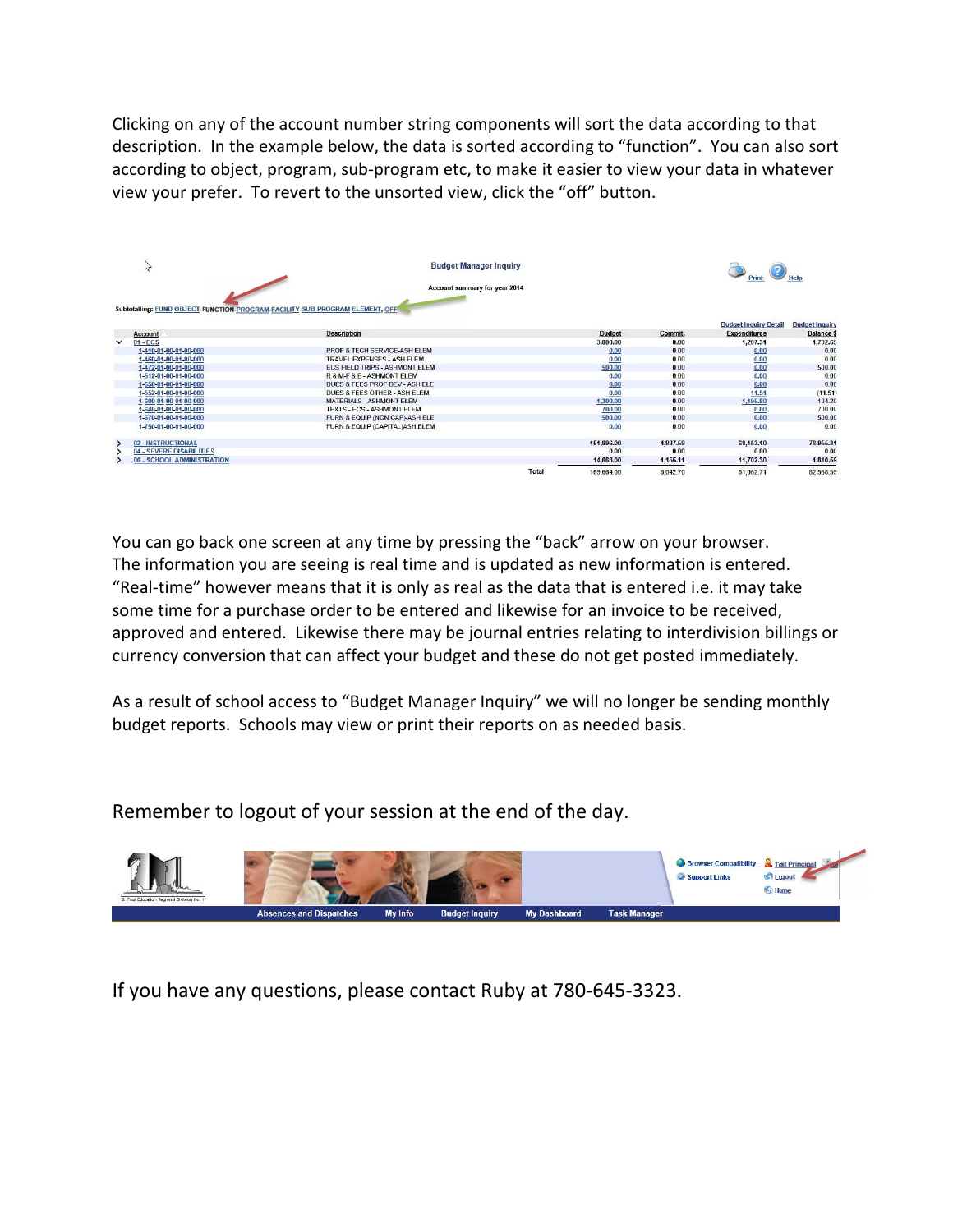Clicking on any of the account number string components will sort the data according to that description. In the example below, the data is sorted according to "function". You can also sort according to object, program, sub-program etc, to make it easier to view your data in whatever view your prefer. To revert to the unsorted view, click the "off" button.

|              | hç                                                                           | <b>Budget Manager Inquiry</b>           |              |               |          |                              |                       |
|--------------|------------------------------------------------------------------------------|-----------------------------------------|--------------|---------------|----------|------------------------------|-----------------------|
|              |                                                                              | Account summary for year 2014           |              |               |          |                              |                       |
|              |                                                                              |                                         |              |               |          |                              |                       |
|              | Subtotalling: FUND-OBJECT-FUNCTION-PROGRAM-FACILITY-SUB-PROGRAM-ELEMENT, OFF |                                         |              |               |          |                              |                       |
|              |                                                                              |                                         |              |               |          |                              |                       |
|              |                                                                              |                                         |              |               |          | <b>Budget Inquiry Detail</b> | <b>Budget Inquiry</b> |
|              | <b>Account</b>                                                               | <b>Description</b>                      |              | <b>Budget</b> | Commit.  | <b>Expenditures</b>          | <b>Balance \$</b>     |
| $\checkmark$ | $01 - ECS$                                                                   |                                         |              | 3,000.00      | 0.00     | 1.207.31                     | 1,792.69              |
|              | 1-410-01-00-01-00-000                                                        | PROF & TECH SERVICE-ASH ELEM            |              | 0.00          | 0.00     | 0.00                         | 0.00                  |
|              | 1-460-01-00-01-00-000                                                        | TRAVEL EXPENSES - ASH ELEM              |              | 0.00          | 0.00     | 0.00                         | 0.00                  |
|              | 1-472-01-00-01-00-000                                                        | FCS FIFLD TRIPS - ASHMONT FLFM          |              | 500.00        | 0.00     | 0.00                         | 500.00                |
|              | 1-512-01-00-01-00-000                                                        | R & M-F & E - ASHMONT ELEM              |              | 0.00          | 0.00     | 0.00                         | 0.00                  |
|              | 1-550-01-00-01-00-000                                                        | DUES & FEES PROF DEV - ASH ELE          |              | 0.00          | 0.00     | 0.00                         | 0.00                  |
|              | 1-552-01-00-01-00-000                                                        | <b>DUES &amp; FEES OTHER - ASH ELEM</b> |              | 0.00          | 0.00     | 11.51                        | (11.51)               |
|              | 1-600-01-00-01-00-000                                                        | <b>MATERIALS - ASHMONT ELEM</b>         |              | 1,300.00      | 0.00     | 1,195.80                     | 104.20                |
|              | 1-640-01-00-01-00-000                                                        | <b>TEXTS - ECS - ASHMONT ELEM</b>       |              | 700.00        | 0.00     | 0.00                         | 700.00                |
|              | 1-670-01-00-01-00-000                                                        | FURN & EQUIP (NON CAP)-ASH ELE          |              | 500.00        | 0.00     | 0.00                         | 500.00                |
|              | 1-750-01-00-01-00-000                                                        | FURN & EQUIP (CAPITAL) ASH.ELEM         |              | 0.00          | 0.00     | 0.00                         | 0.00                  |
|              | 02 - INSTRUCTIONAL                                                           |                                         |              | 151,996.00    | 4,887.59 | 68,153.10                    | 78,955.31             |
|              | 04 - SEVERE DISABILITIES                                                     |                                         |              | 0.00          | 0.00     | 0.00                         | 0.00                  |
|              | 06 - SCHOOL ADMINISTRATION                                                   |                                         |              | 14,668.00     | 1,155.11 | 11,702.30                    | 1,810.59              |
|              |                                                                              |                                         | <b>Total</b> | 169,664.00    | 6.042.70 | 81.062.71                    | 82.558.59             |

You can go back one screen at any time by pressing the "back" arrow on your browser. The information you are seeing is real time and is updated as new information is entered. "Real-time" however means that it is only as real as the data that is entered i.e. it may take some time for a purchase order to be entered and likewise for an invoice to be received, approved and entered. Likewise there may be journal entries relating to interdivision billings or currency conversion that can affect your budget and these do not get posted immediately.

As a result of school access to "Budget Manager Inquiry" we will no longer be sending monthly budget reports. Schools may view or print their reports on as needed basis.

Remember to logout of your session at the end of the day.



If you have any questions, please contact Ruby at 780-645-3323.